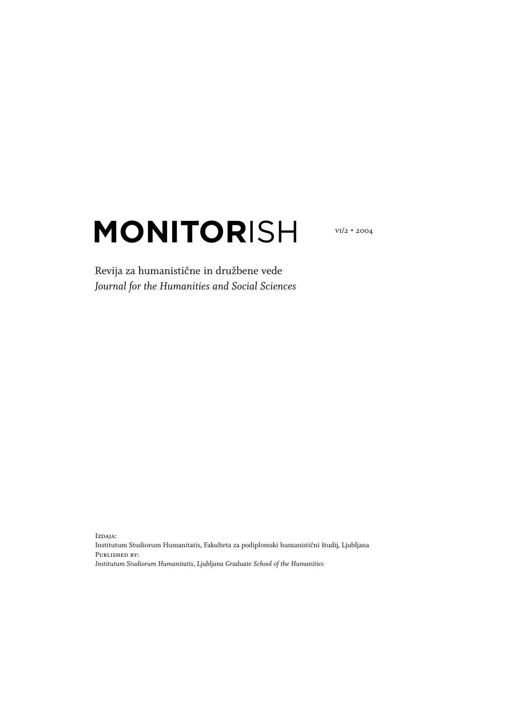# **MONITOR**ISH

vi/2 • 2004

## Revija za humanistične in družbene vede *Journal for the Humanities and Social Sciences*

Izdaja:

Institutum Studiorum Humanitatis, Fakulteta za podiplomski humanistični študij, Ljubljana PUBLISHED BY: *Institutum Studiorum Humanitatis, Ljubljana Graduate School of the Humanities*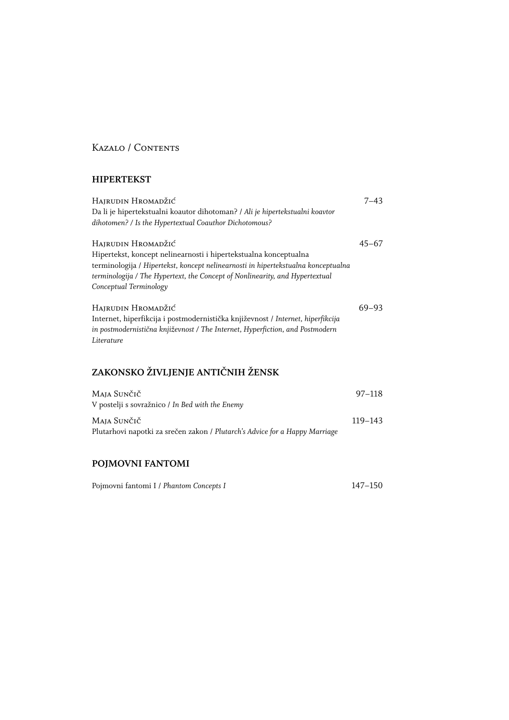## Kazalo / Contents

#### **HIPERTEKST**

| Hajrudin Hromadžić                                                                | $7 - 43$  |
|-----------------------------------------------------------------------------------|-----------|
| Da li je hipertekstualni koautor dihotoman? / Ali je hipertekstualni koavtor      |           |
| dihotomen? / Is the Hypertextual Coauthor Dichotomous?                            |           |
| Hajrudin Hromadžić                                                                | $45 - 67$ |
| Hipertekst, koncept nelinearnosti i hipertekstualna konceptualna                  |           |
| terminologija / Hipertekst, koncept nelinearnosti in hipertekstualna konceptualna |           |
| terminologija / The Hypertext, the Concept of Nonlinearity, and Hypertextual      |           |
| Conceptual Terminology                                                            |           |
| Hajrudin Hromadžić                                                                | 69–93     |
| Internet, hiperfikcija i postmodernistička književnost / Internet, hiperfikcija   |           |
| in postmodernistična književnost / The Internet, Hyperfiction, and Postmodern     |           |
| Literature                                                                        |           |

# **ZAKONSKO ŽIVLJENJE ANTIČNIH ŽENSK**

| Maja Sunčič<br>V postelji s sovražnico / In Bed with the Enemy              | 97–118      |
|-----------------------------------------------------------------------------|-------------|
| Maja Sunčič                                                                 | $119 - 143$ |
| Plutarhovi napotki za srečen zakon / Plutarch's Advice for a Happy Marriage |             |

#### **POJMOVNI FANTOMI**

| Pojmovni fantomi I / Phantom Concepts I | 147-150 |
|-----------------------------------------|---------|
|                                         |         |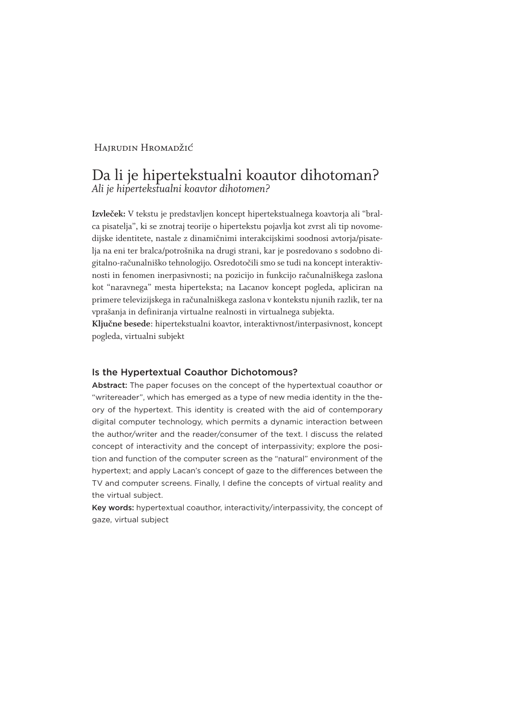#### Hairudin Hromadžić

## Da li je hipertekstualni koautor dihotoman? *Ali je hipertekstualni koavtor dihotomen?*

**Izvleček:** V tekstu je predstavljen koncept hipertekstualnega koavtorja ali "bralca pisatelja", ki se znotraj teorije o hipertekstu pojavlja kot zvrst ali tip novomedijske identitete, nastale z dinamičnimi interakcijskimi soodnosi avtorja/pisatelja na eni ter bralca/potrošnika na drugi strani, kar je posredovano s sodobno digitalno-računalniško tehnologijo. Osredotočili smo se tudi na koncept interaktivnosti in fenomen inerpasivnosti; na pozicijo in funkcijo računalniškega zaslona kot "naravnega" mesta hiperteksta; na Lacanov koncept pogleda, apliciran na primere televizijskega in računalniškega zaslona v kontekstu njunih razlik, ter na vprašanja in definiranja virtualne realnosti in virtualnega subjekta.

**Ključne besede**: hipertekstualni koavtor, interaktivnost/interpasivnost, koncept pogleda, virtualni subjekt

#### Is the Hypertextual Coauthor Dichotomous?

Abstract: The paper focuses on the concept of the hypertextual coauthor or "writereader", which has emerged as a type of new media identity in the theory of the hypertext. This identity is created with the aid of contemporary digital computer technology, which permits a dynamic interaction between the author/writer and the reader/consumer of the text. I discuss the related concept of interactivity and the concept of interpassivity; explore the position and function of the computer screen as the "natural" environment of the hypertext; and apply Lacan's concept of gaze to the differences between the TV and computer screens. Finally, I define the concepts of virtual reality and the virtual subject.

Key words: hypertextual coauthor, interactivity/interpassivity, the concept of gaze, virtual subject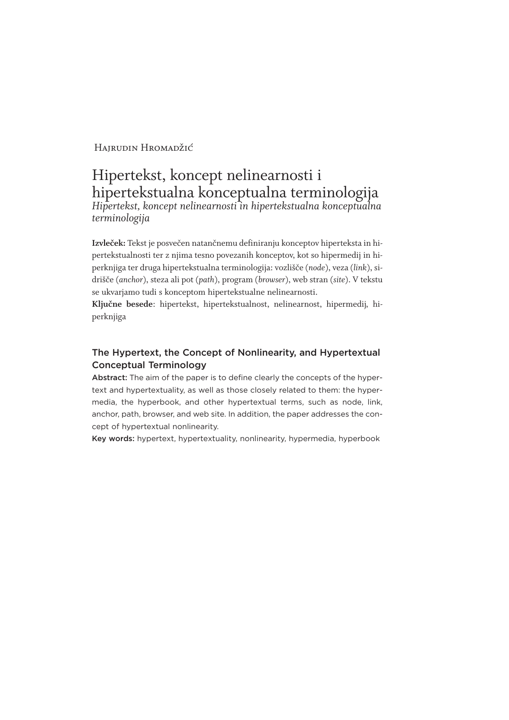### Hairudin Hromadžić

## Hipertekst, koncept nelinearnosti i hipertekstualna konceptualna terminologija *Hipertekst, koncept nelinearnosti in hipertekstualna konceptualna terminologija*

**Izvleček:** Tekst je posvečen natančnemu definiranju konceptov hiperteksta in hipertekstualnosti ter z njima tesno povezanih konceptov, kot so hipermedij in hiperknjiga ter druga hipertekstualna terminologija: vozlišče (*node*), veza (*link*), sidrišče (*anchor*), steza ali pot (*path*), program (*browser*), web stran (*site*). V tekstu se ukvarjamo tudi s konceptom hipertekstualne nelinearnosti.

**Ključne besede**: hipertekst, hipertekstualnost, nelinearnost, hipermedij, hiperknjiga

#### The Hypertext, the Concept of Nonlinearity, and Hypertextual Conceptual Terminology

Abstract: The aim of the paper is to define clearly the concepts of the hypertext and hypertextuality, as well as those closely related to them: the hypermedia, the hyperbook, and other hypertextual terms, such as node, link, anchor, path, browser, and web site. In addition, the paper addresses the concept of hypertextual nonlinearity.

Key words: hypertext, hypertextuality, nonlinearity, hypermedia, hyperbook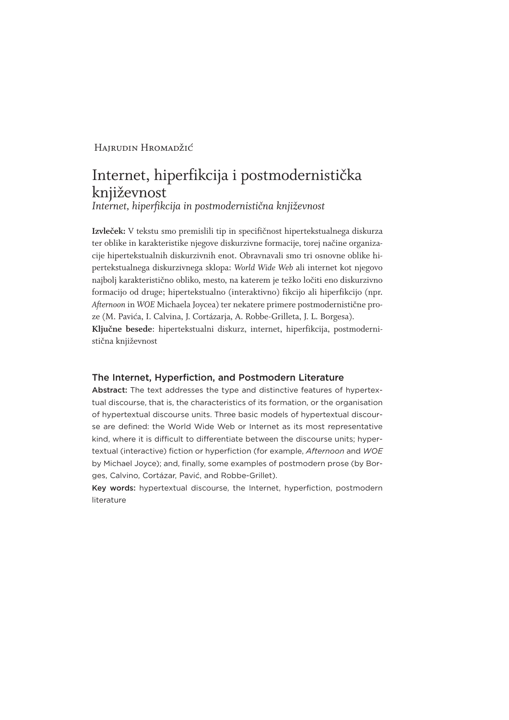#### Hairudin Hromadžić

# Internet, hiperfikcija i postmodernistička književnost

*Internet, hiperfikcija in postmodernistična književnost*

**Izvleček:** V tekstu smo premislili tip in specifičnost hipertekstualnega diskurza ter oblike in karakteristike njegove diskurzivne formacije, torej načine organizacije hipertekstualnih diskurzivnih enot. Obravnavali smo tri osnovne oblike hipertekstualnega diskurzivnega sklopa: *World Wide Web* ali internet kot njegovo najbolj karakteristično obliko, mesto, na katerem je težko ločiti eno diskurzivno formacijo od druge; hipertekstualno (interaktivno) fikcijo ali hiperfikcijo (npr. *Afternoon* in *WOE* Michaela Joycea) ter nekatere primere postmodernistične proze (M. Pavića, I. Calvina, J. Cortázarja, A. Robbe-Grilleta, J. L. Borgesa). **Ključne besede**: hipertekstualni diskurz, internet, hiperfikcija, postmodernistična književnost

#### The Internet, Hyperfiction, and Postmodern Literature

Abstract: The text addresses the type and distinctive features of hypertextual discourse, that is, the characteristics of its formation, or the organisation of hypertextual discourse units. Three basic models of hypertextual discourse are defined: the World Wide Web or Internet as its most representative kind, where it is difficult to differentiate between the discourse units; hypertextual (interactive) fiction or hyperfiction (for example, *Afternoon* and *WOE* by Michael Joyce); and, finally, some examples of postmodern prose (by Borges, Calvino, Cortázar, Pavić, and Robbe-Grillet).

Key words: hypertextual discourse, the Internet, hyperfiction, postmodern literature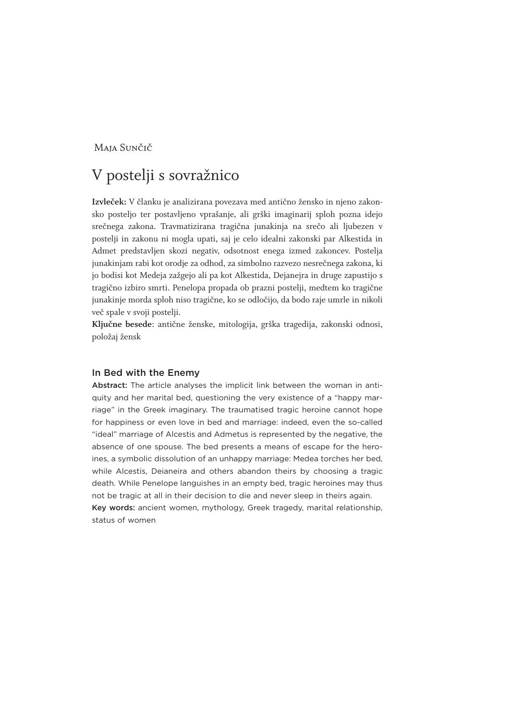#### Maja Sunčič

# V postelji s sovražnico

**Izvleček:** V članku je analizirana povezava med antično žensko in njeno zakonsko posteljo ter postavljeno vprašanje, ali grški imaginarij sploh pozna idejo srečnega zakona. Travmatizirana tragična junakinja na srečo ali ljubezen v postelji in zakonu ni mogla upati, saj je celo idealni zakonski par Alkestida in Admet predstavljen skozi negativ, odsotnost enega izmed zakoncev. Postelja junakinjam rabi kot orodje za odhod, za simbolno razvezo nesrečnega zakona, ki jo bodisi kot Medeja zažgejo ali pa kot Alkestida, Dejanejra in druge zapustijo s tragično izbiro smrti. Penelopa propada ob prazni postelji, medtem ko tragične junakinje morda sploh niso tragične, ko se odločijo, da bodo raje umrle in nikoli več spale v svoji postelji.

**Ključne besede**: antične ženske, mitologija, grška tragedija, zakonski odnosi, položaj žensk

#### In Bed with the Enemy

Abstract: The article analyses the implicit link between the woman in antiquity and her marital bed, questioning the very existence of a "happy marriage" in the Greek imaginary. The traumatised tragic heroine cannot hope for happiness or even love in bed and marriage: indeed, even the so-called "ideal" marriage of Alcestis and Admetus is represented by the negative, the absence of one spouse. The bed presents a means of escape for the heroines, a symbolic dissolution of an unhappy marriage: Medea torches her bed, while Alcestis, Deianeira and others abandon theirs by choosing a tragic death. While Penelope languishes in an empty bed, tragic heroines may thus not be tragic at all in their decision to die and never sleep in theirs again. Key words: ancient women, mythology, Greek tragedy, marital relationship, status of women